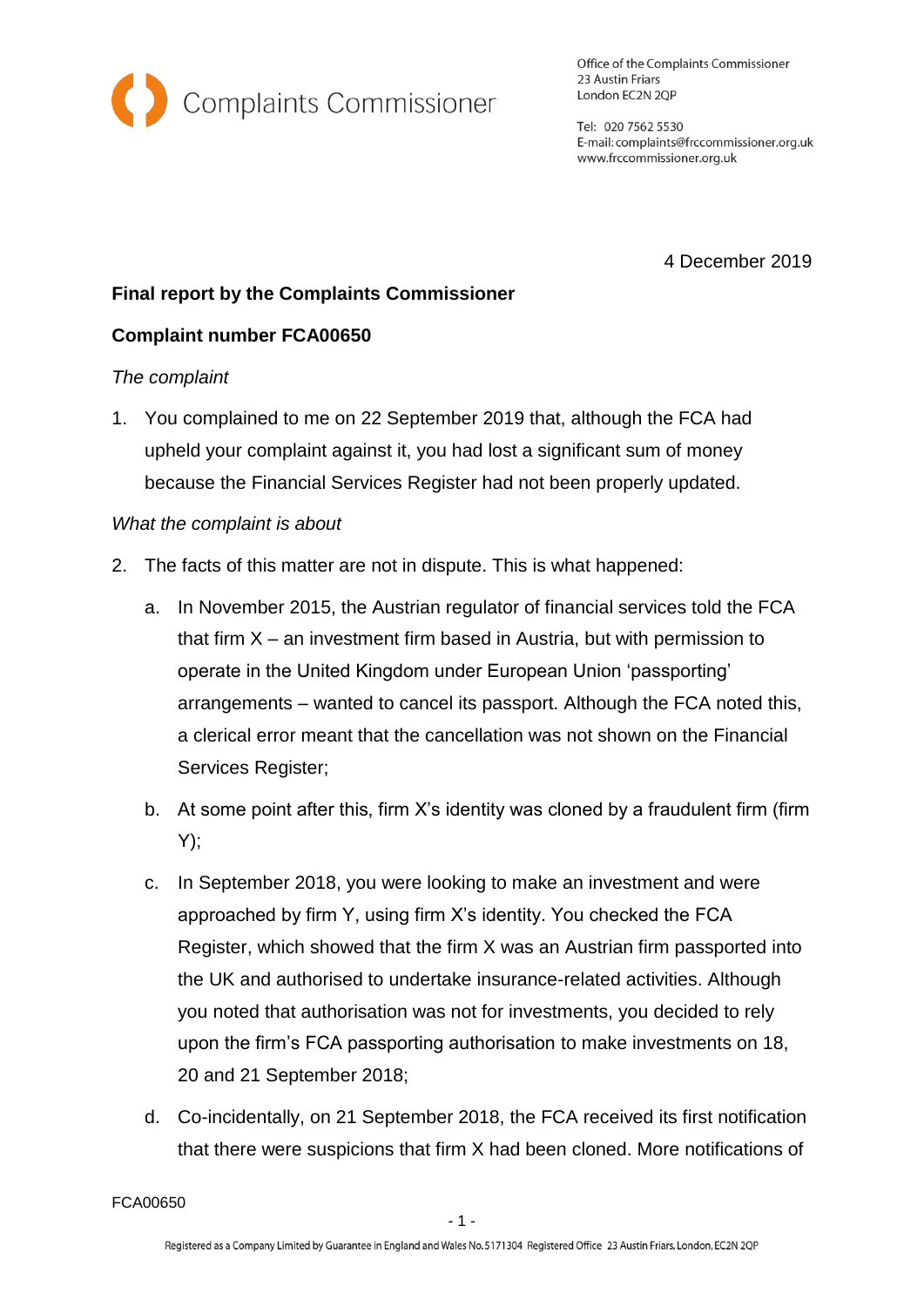

Office of the Complaints Commissioner 23 Austin Friars London EC2N 2QP

Tel: 020 7562 5530 E-mail: complaints@frccommissioner.org.uk www.frccommissioner.org.uk

4 December 2019

# **Final report by the Complaints Commissioner**

## **Complaint number FCA00650**

## *The complaint*

1. You complained to me on 22 September 2019 that, although the FCA had upheld your complaint against it, you had lost a significant sum of money because the Financial Services Register had not been properly updated.

## *What the complaint is about*

- 2. The facts of this matter are not in dispute. This is what happened:
	- a. In November 2015, the Austrian regulator of financial services told the FCA that firm X – an investment firm based in Austria, but with permission to operate in the United Kingdom under European Union 'passporting' arrangements – wanted to cancel its passport. Although the FCA noted this, a clerical error meant that the cancellation was not shown on the Financial Services Register;
	- b. At some point after this, firm X's identity was cloned by a fraudulent firm (firm Y);
	- c. In September 2018, you were looking to make an investment and were approached by firm Y, using firm X's identity. You checked the FCA Register, which showed that the firm X was an Austrian firm passported into the UK and authorised to undertake insurance-related activities. Although you noted that authorisation was not for investments, you decided to rely upon the firm's FCA passporting authorisation to make investments on 18, 20 and 21 September 2018;
	- d. Co-incidentally, on 21 September 2018, the FCA received its first notification that there were suspicions that firm X had been cloned. More notifications of

FCA00650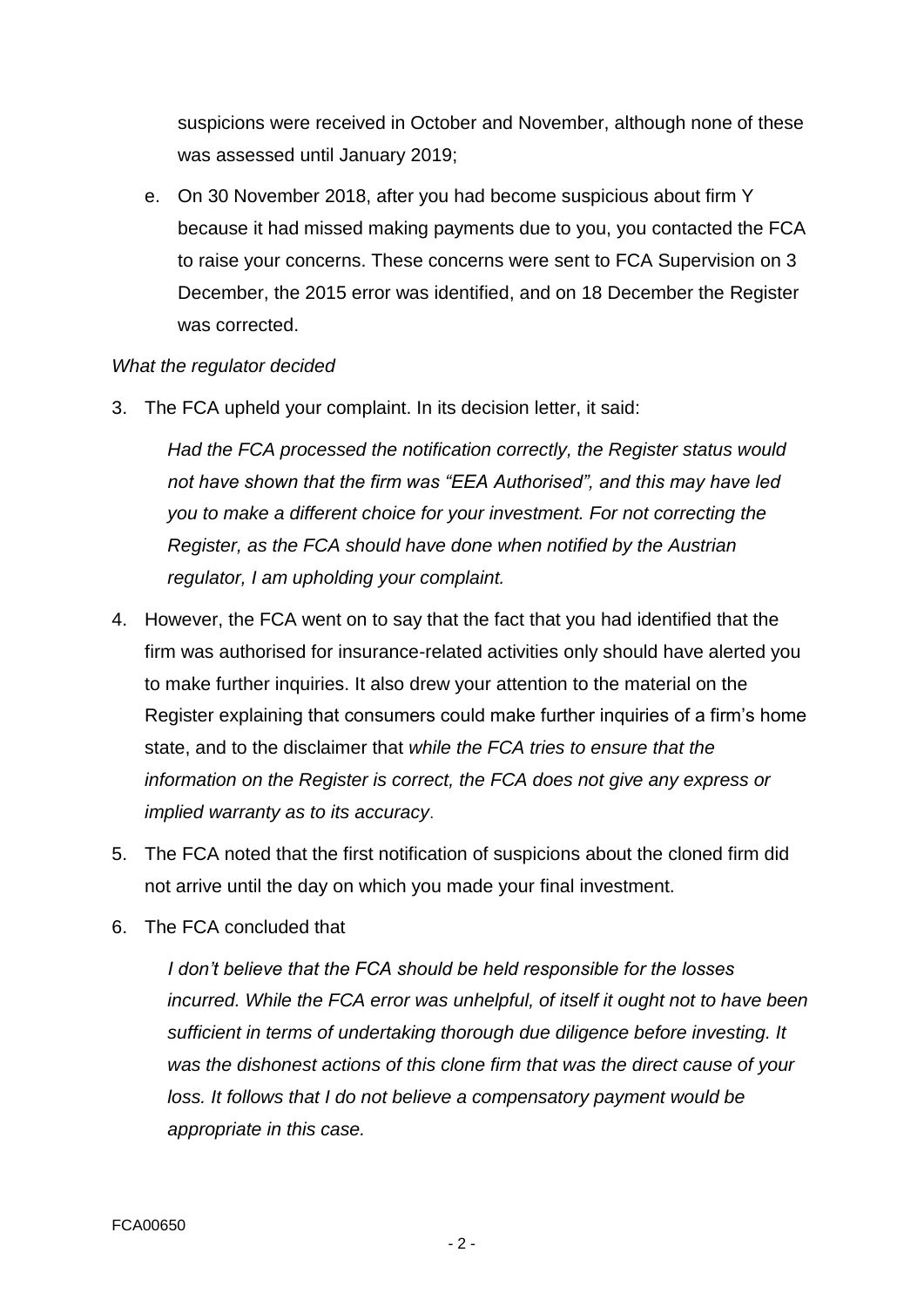suspicions were received in October and November, although none of these was assessed until January 2019;

e. On 30 November 2018, after you had become suspicious about firm Y because it had missed making payments due to you, you contacted the FCA to raise your concerns. These concerns were sent to FCA Supervision on 3 December, the 2015 error was identified, and on 18 December the Register was corrected.

#### *What the regulator decided*

3. The FCA upheld your complaint. In its decision letter, it said:

*Had the FCA processed the notification correctly, the Register status would not have shown that the firm was "EEA Authorised", and this may have led you to make a different choice for your investment. For not correcting the Register, as the FCA should have done when notified by the Austrian regulator, I am upholding your complaint.*

- 4. However, the FCA went on to say that the fact that you had identified that the firm was authorised for insurance-related activities only should have alerted you to make further inquiries. It also drew your attention to the material on the Register explaining that consumers could make further inquiries of a firm's home state, and to the disclaimer that *while the FCA tries to ensure that the information on the Register is correct, the FCA does not give any express or implied warranty as to its accuracy*.
- 5. The FCA noted that the first notification of suspicions about the cloned firm did not arrive until the day on which you made your final investment.
- 6. The FCA concluded that

*I don't believe that the FCA should be held responsible for the losses incurred. While the FCA error was unhelpful, of itself it ought not to have been sufficient in terms of undertaking thorough due diligence before investing. It was the dishonest actions of this clone firm that was the direct cause of your loss. It follows that I do not believe a compensatory payment would be appropriate in this case.*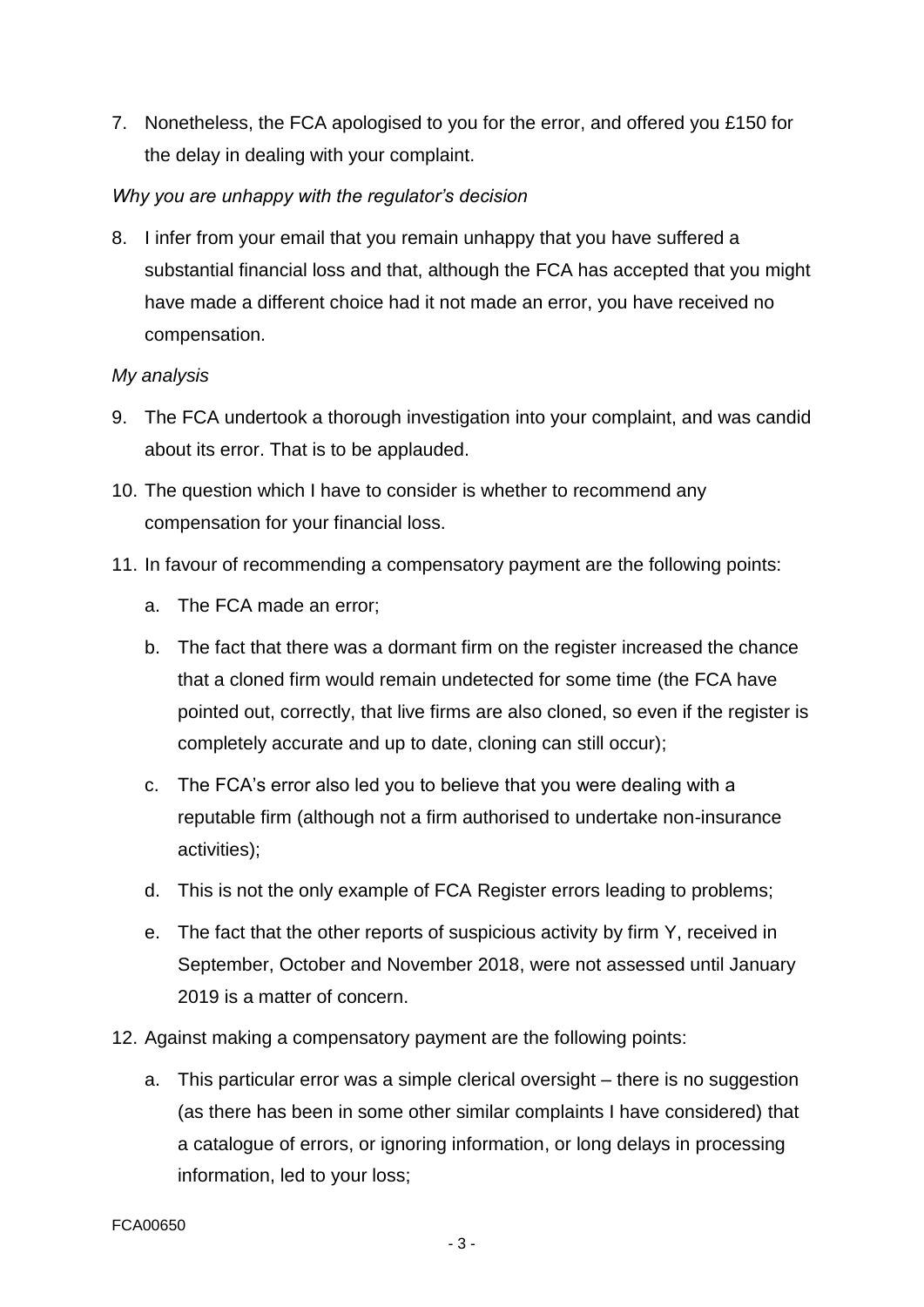7. Nonetheless, the FCA apologised to you for the error, and offered you £150 for the delay in dealing with your complaint.

# *Why you are unhappy with the regulator's decision*

8. I infer from your email that you remain unhappy that you have suffered a substantial financial loss and that, although the FCA has accepted that you might have made a different choice had it not made an error, you have received no compensation.

## *My analysis*

- 9. The FCA undertook a thorough investigation into your complaint, and was candid about its error. That is to be applauded.
- 10. The question which I have to consider is whether to recommend any compensation for your financial loss.
- 11. In favour of recommending a compensatory payment are the following points:
	- a. The FCA made an error;
	- b. The fact that there was a dormant firm on the register increased the chance that a cloned firm would remain undetected for some time (the FCA have pointed out, correctly, that live firms are also cloned, so even if the register is completely accurate and up to date, cloning can still occur);
	- c. The FCA's error also led you to believe that you were dealing with a reputable firm (although not a firm authorised to undertake non-insurance activities);
	- d. This is not the only example of FCA Register errors leading to problems;
	- e. The fact that the other reports of suspicious activity by firm Y, received in September, October and November 2018, were not assessed until January 2019 is a matter of concern.
- 12. Against making a compensatory payment are the following points:
	- a. This particular error was a simple clerical oversight there is no suggestion (as there has been in some other similar complaints I have considered) that a catalogue of errors, or ignoring information, or long delays in processing information, led to your loss;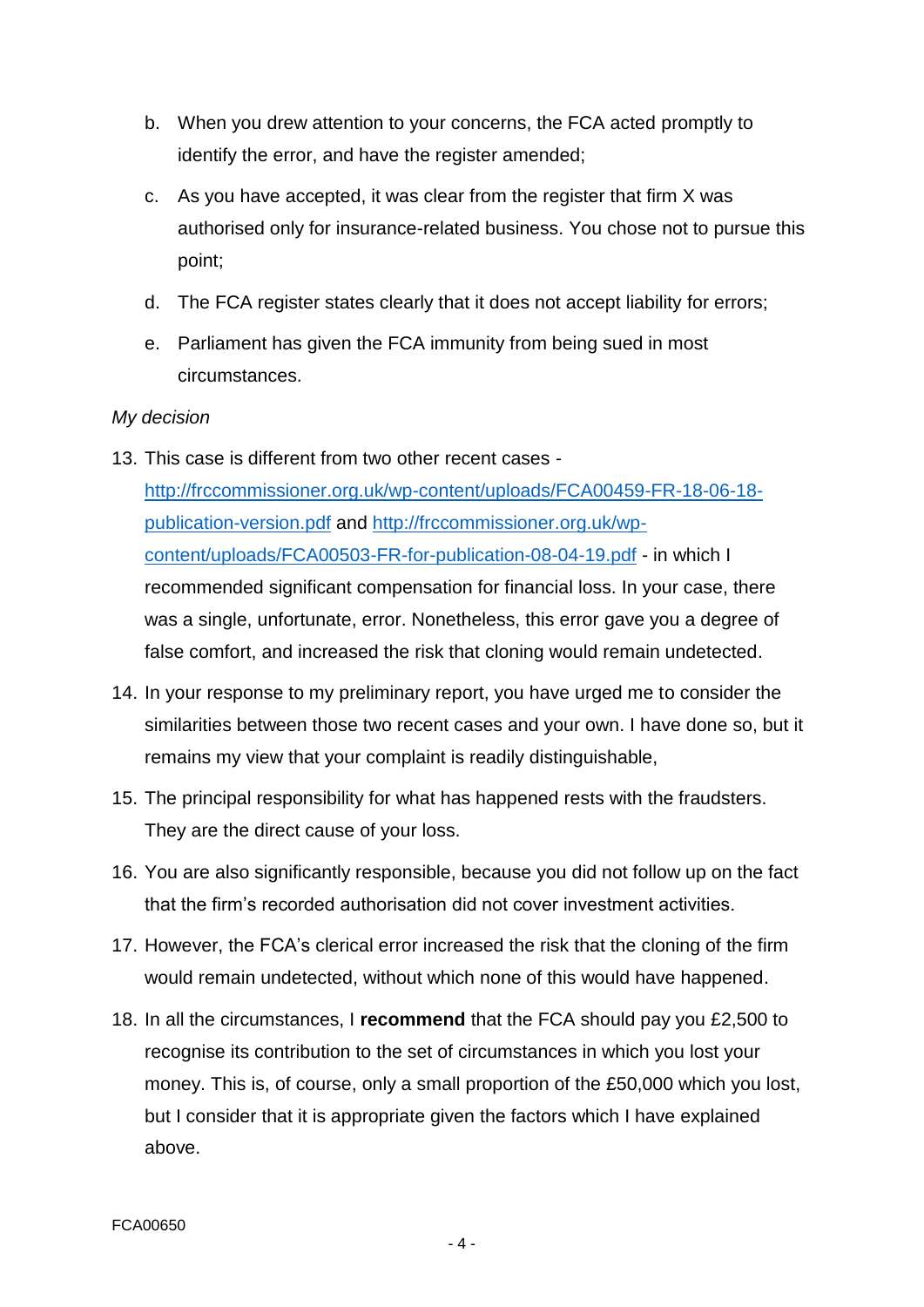- b. When you drew attention to your concerns, the FCA acted promptly to identify the error, and have the register amended;
- c. As you have accepted, it was clear from the register that firm X was authorised only for insurance-related business. You chose not to pursue this point;
- d. The FCA register states clearly that it does not accept liability for errors;
- e. Parliament has given the FCA immunity from being sued in most circumstances.

## *My decision*

- 13. This case is different from two other recent cases [http://frccommissioner.org.uk/wp-content/uploads/FCA00459-FR-18-06-18](http://frccommissioner.org.uk/wp-content/uploads/FCA00459-FR-18-06-18-publication-version.pdf) [publication-version.pdf](http://frccommissioner.org.uk/wp-content/uploads/FCA00459-FR-18-06-18-publication-version.pdf) and [http://frccommissioner.org.uk/wp](http://frccommissioner.org.uk/wp-content/uploads/FCA00503-FR-for-publication-08-04-19.pdf)[content/uploads/FCA00503-FR-for-publication-08-04-19.pdf](http://frccommissioner.org.uk/wp-content/uploads/FCA00503-FR-for-publication-08-04-19.pdf) - in which I recommended significant compensation for financial loss. In your case, there was a single, unfortunate, error. Nonetheless, this error gave you a degree of false comfort, and increased the risk that cloning would remain undetected.
- 14. In your response to my preliminary report, you have urged me to consider the similarities between those two recent cases and your own. I have done so, but it remains my view that your complaint is readily distinguishable,
- 15. The principal responsibility for what has happened rests with the fraudsters. They are the direct cause of your loss.
- 16. You are also significantly responsible, because you did not follow up on the fact that the firm's recorded authorisation did not cover investment activities.
- 17. However, the FCA's clerical error increased the risk that the cloning of the firm would remain undetected, without which none of this would have happened.
- 18. In all the circumstances, I **recommend** that the FCA should pay you £2,500 to recognise its contribution to the set of circumstances in which you lost your money. This is, of course, only a small proportion of the £50,000 which you lost, but I consider that it is appropriate given the factors which I have explained above.